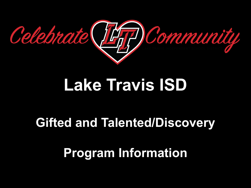

# **Lake Travis ISD**

#### **Gifted and Talented/Discovery**

**Program Information**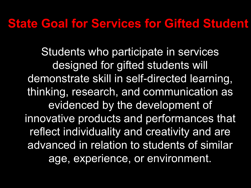#### **State Goal for Services for Gifted Student**

Students who participate in services designed for gifted students will demonstrate skill in self-directed learning, thinking, research, and communication as evidenced by the development of innovative products and performances that reflect individuality and creativity and are advanced in relation to students of similar age, experience, or environment.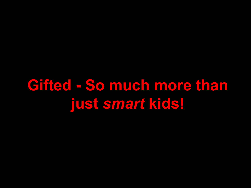## **Gifted - So much more than just** *smart* **kids!**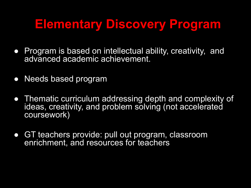#### **Elementary Discovery Program**

- Program is based on intellectual ability, creativity, and advanced academic achievement.
- Needs based program
- Thematic curriculum addressing depth and complexity of ideas, creativity, and problem solving (not accelerated coursework)
- GT teachers provide: pull out program, classroom enrichment, and resources for teachers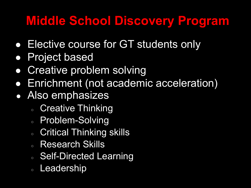### **Middle School Discovery Program**

- Elective course for GT students only
- Project based
- Creative problem solving
- Enrichment (not academic acceleration)
- Also emphasizes
	- Creative Thinking
	- Problem-Solving
	- Critical Thinking skills
	- Research Skills
	- **Self-Directed Learning**
	- Leadership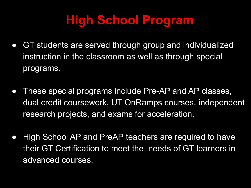### **High School Program**

- GT students are served through group and individualized instruction in the classroom as well as through special programs.
- These special programs include Pre-AP and AP classes, dual credit coursework, UT OnRamps courses, independent research projects, and exams for acceleration.
- High School AP and PreAP teachers are required to have their GT Certification to meet the needs of GT learners in advanced courses.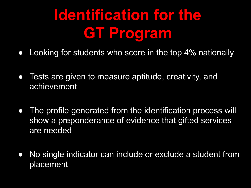## **Identification for the GT Program**

- Looking for students who score in the top 4% nationally
- Tests are given to measure aptitude, creativity, and achievement
- The profile generated from the identification process will show a preponderance of evidence that gifted services are needed
- No single indicator can include or exclude a student from placement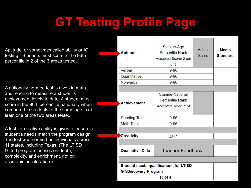### **GT Testing Profile Page**

Aptitude, or sometimes called ability or IQ testing - Students must score in the 96th percentile in 2 of the 3 areas tested.

A nationally normed test is given in math and reading to measure a student's achievement levels to date. A student must score in the 96th percentile nationally when compared to students of the same age in at least one of the two areas tested.

A test for creative ability is given to ensure a student's needs match the program design. The test was normed on individuals across 11 states, including Texas. (The LTISD Gifted program focuses on depth, complexity, and enrichment, not on academic acceleration.)

| <b>Aptitude</b>                               | Stanine-Age<br><b>Percentile Rank</b><br>Accepted Score: 2 out<br>of 3         | Actual<br>Score | <b>Meets</b><br><b>Standard</b> |
|-----------------------------------------------|--------------------------------------------------------------------------------|-----------------|---------------------------------|
| Verbal                                        | $9 - 96$                                                                       |                 |                                 |
| Quantitative                                  | $9 - 96$                                                                       |                 |                                 |
| Nonverbal                                     | $9 - 96$                                                                       |                 |                                 |
|                                               |                                                                                |                 |                                 |
| <b>Achievement</b>                            | <b>Stanine-National</b><br><b>Percentile Rank</b><br>Accepted Score: 1 of<br>2 |                 |                                 |
| <b>Reading Total</b>                          | $9 - 96$                                                                       |                 |                                 |
| <b>Math Total</b>                             | $9 - 96$                                                                       |                 |                                 |
|                                               |                                                                                |                 |                                 |
| Creativity                                    | >125                                                                           |                 |                                 |
|                                               |                                                                                |                 |                                 |
| <b>Qualitative Data</b>                       | <b>Teacher Feedback</b>                                                        |                 |                                 |
|                                               |                                                                                |                 |                                 |
| <b>Student meets qualifications for LTISD</b> |                                                                                |                 |                                 |
| <b>GT/Discovery Program</b>                   |                                                                                |                 |                                 |
| $(3 \text{ of } 4)$                           |                                                                                |                 |                                 |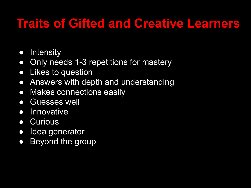#### **Traits of Gifted and Creative Learners**

- Intensity
- Only needs 1-3 repetitions for mastery
- Likes to question
- Answers with depth and understanding
- Makes connections easily
- Guesses well
- Innovative
- Curious
- Idea generator
- Beyond the group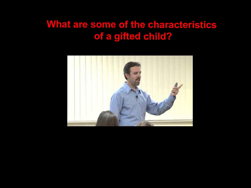#### **What are some of the characteristics of a gifted child?**

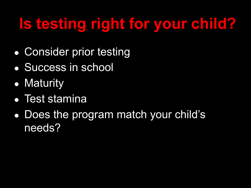### **Is testing right for your child?**

- Consider prior testing
- Success in school
- Maturity
- Test stamina
- Does the program match your child's needs?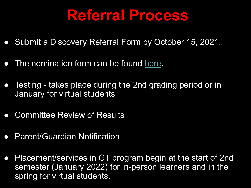### **Referral Process**

- Submit a Discovery Referral Form by October 15, 2021.
- The nomination form can be found [here.](https://www.ltisdschools.org/Page/205)
- Testing takes place during the 2nd grading period or in January for virtual students
- Committee Review of Results
- Parent/Guardian Notification
- Placement/services in GT program begin at the start of 2nd semester (January 2022) for in-person learners and in the spring for virtual students.